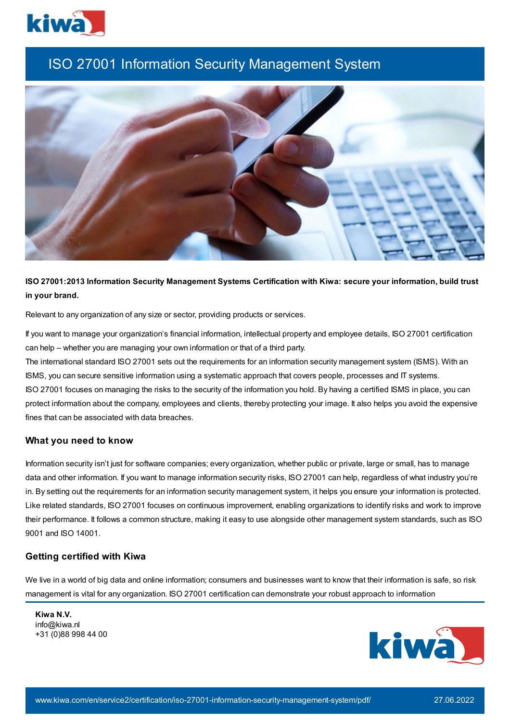

# ISO 27001 Information Security Management System



## **ISO 27001:2013 Information Security Management Systems Certification with Kiwa: secure your information, build trust in your brand.**

Relevant to any organization of any size or sector, providing products or services.

If you want to manage your organization's financial information, intellectual property and employee details, ISO 27001 certification can help – whether you are managing your own information or that of a third party.

The international standard ISO 27001 sets out the requirements for an information security management system (ISMS). With an ISMS, you can secure sensitive information using a systematic approach that covers people, processes and IT systems. ISO 27001 focuses on managing the risks to the security of the information you hold. By having a certified ISMS in place, you can protect information about the company, employees and clients, thereby protecting your image. It also helps you avoid the expensive fines that can be associated with data breaches.

#### **What you need to know**

Information security isn't just for software companies; every organization, whether public or private, large or small, has to manage data and other information. If you want to manage information security risks, ISO 27001 can help, regardless of what industry you're in. By setting out the requirements for an information security management system, it helps you ensure your information is protected. Like related standards, ISO 27001 focuses on continuous improvement, enabling organizations to identify risks and work to improve their performance. It follows a common structure, making it easy to use alongside other management system standards, such as ISO 9001 and ISO 14001.

#### **Getting certified with Kiwa**

We live in a world of big data and online information; consumers and businesses want to know that their information is safe, so risk management is vital for any organization. ISO 27001 certification can demonstrate your robust approach to information

**Kiwa N.V.** info@kiwa.nl +31 (0)88 998 44 00